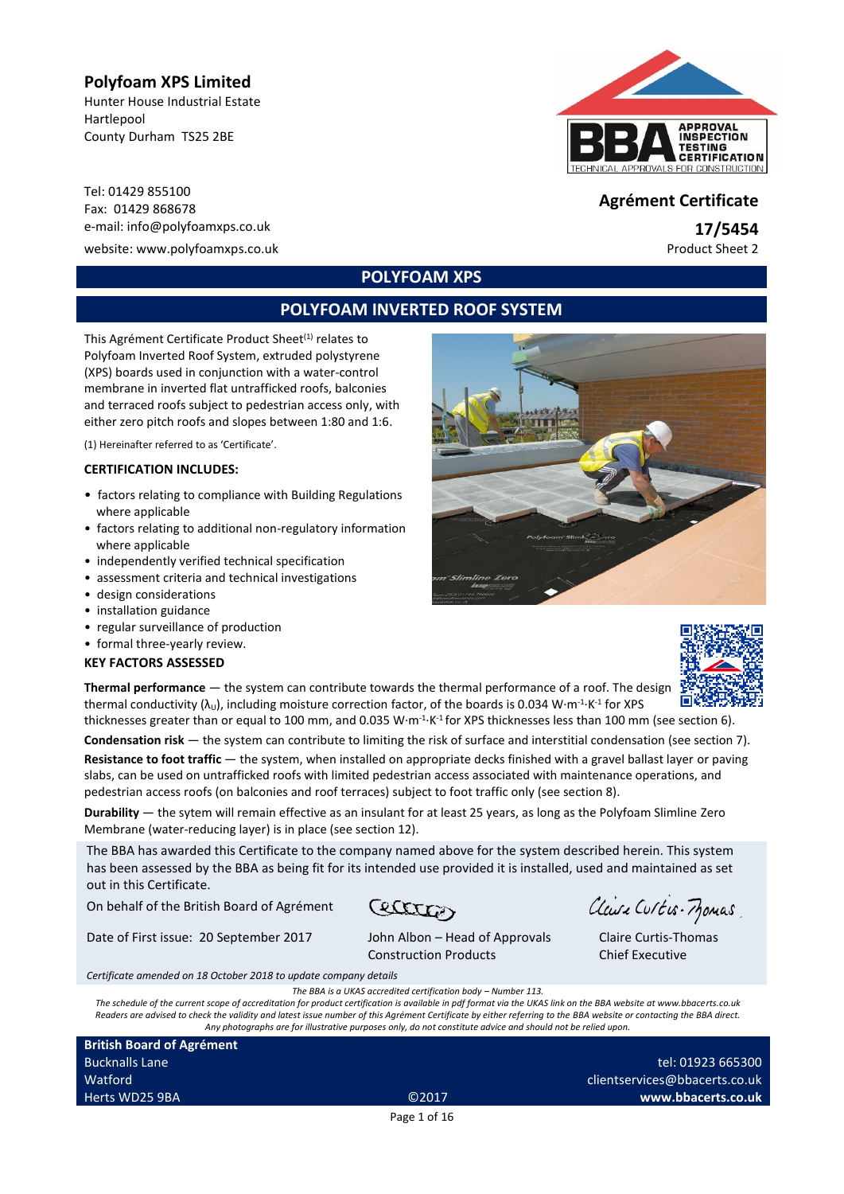## **Polyfoam XPS Limited**

Hunter House Industrial Estate Hartlepool County Durham TS25 2BE

Tel: 01429 855100 Fax: 01429 <sup>868678</sup> **Agrément Certificate** e-mail: info@polyfoamxps.co.uk **17/5454**

website: www.polyfoamxps.co.uk example of the example of the example of the example of the example of the example of the example of the example of the example of the example of the example of the example of the example of



# **POLYFOAM XPS**

# **POLYFOAM INVERTED ROOF SYSTEM**

This Agrément Certificate Product Sheet<sup>(1)</sup> relates to Polyfoam Inverted Roof System, extruded polystyrene (XPS) boards used in conjunction with a water-control membrane in inverted flat untrafficked roofs, balconies and terraced roofs subject to pedestrian access only, with either zero pitch roofs and slopes between 1:80 and 1:6.

(1) Hereinafter referred to as 'Certificate'.

#### **CERTIFICATION INCLUDES:**

- factors relating to compliance with Building Regulations where applicable
- factors relating to additional non-regulatory information where applicable
- independently verified technical specification
- assessment criteria and technical investigations
- design considerations
- installation guidance
- regular surveillance of production
- formal three-yearly review.

#### **KEY FACTORS ASSESSED**

**Thermal performance** — the system can contribute towards the thermal performance of a roof. The design thermal conductivity  $(\lambda_0)$ , including moisture correction factor, of the boards is 0.034 W·m<sup>-1</sup>·K<sup>-1</sup> for XPS thicknesses greater than or equal to 100 mm, and 0.035 W $\cdot$ m<sup>-1.</sup>K<sup>-1</sup> for XPS thicknesses less than 100 mm (see section 6).

**Condensation risk** — the system can contribute to limiting the risk of surface and interstitial condensation (see section 7).

**Resistance to foot traffic** — the system, when installed on appropriate decks finished with a gravel ballast layer or paving slabs, can be used on untrafficked roofs with limited pedestrian access associated with maintenance operations, and pedestrian access roofs (on balconies and roof terraces) subject to foot traffic only (see section 8).

**Durability** — the sytem will remain effective as an insulant for at least 25 years, as long as the Polyfoam Slimline Zero Membrane (water-reducing layer) is in place (see section 12).

The BBA has awarded this Certificate to the company named above for the system described herein. This system has been assessed by the BBA as being fit for its intended use provided it is installed, used and maintained as set out in this Certificate.

On behalf of the British Board of Agrément

Ceatter

Claire Curtis-Momas

Claire Curtis-Thomas Chief Executive

*Certificate amended on 18 October 2018 to update company details*

Date of First issue: 20 September 2017 John Albon – Head of Approvals

Construction Products

*The BBA is a UKAS accredited certification body – Number 113. The schedule of the current scope of accreditation for product certification is available in pdf format via the UKAS link on the BBA website at www.bbacerts.co.uk Readers are advised to check the validity and latest issue number of this Agrément Certificate by either referring to the BBA website or contacting the BBA direct. Any photographs are for illustrative purposes only, do not constitute advice and should not be relied upon.*

**British Board of Agrément** Bucknalls Lane Watford Herts WD25 9BA ©2017

tel: 01923 665300 clientservices@bbacerts.co.uk **www.bbacerts.co.uk**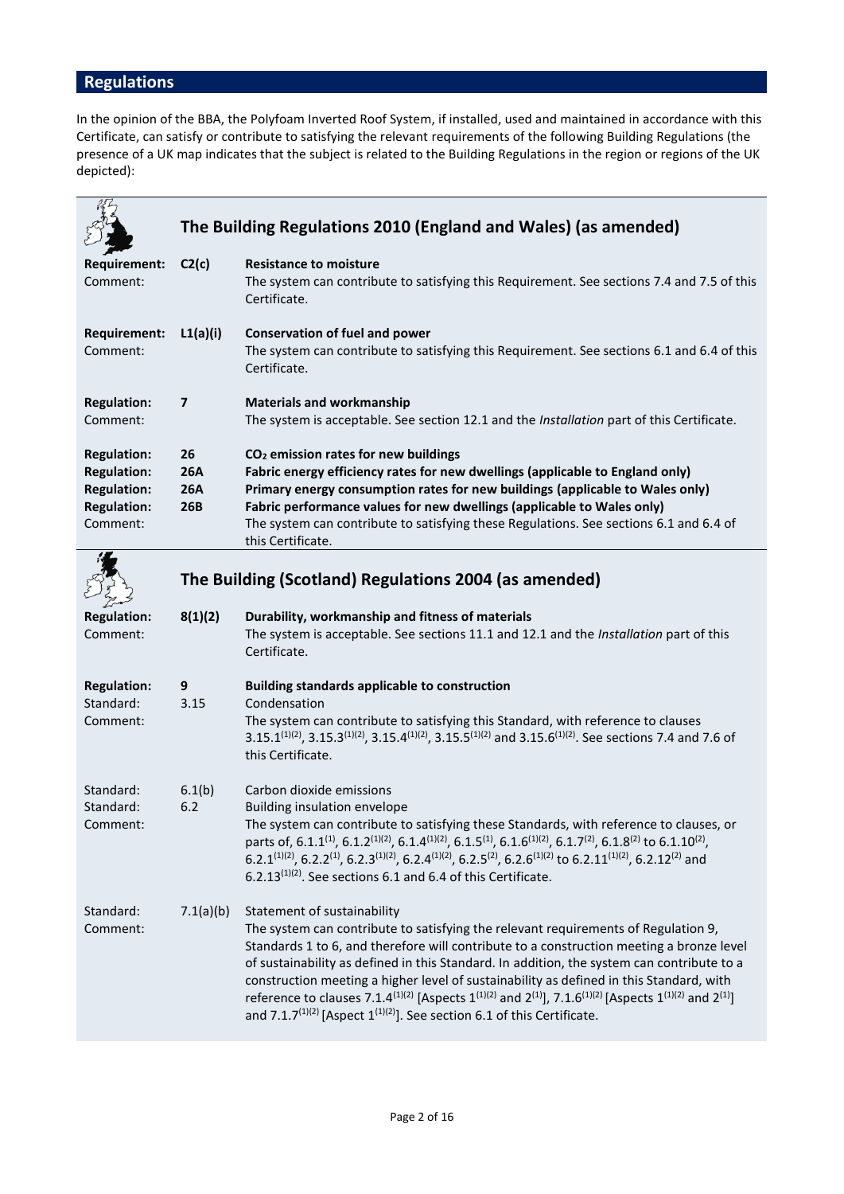## **Regulations**

In the opinion of the BBA, the Polyfoam Inverted Roof System, if installed, used and maintained in accordance with this Certificate, can satisfy or contribute to satisfying the relevant requirements of the following Building Regulations (the presence of a UK map indicates that the subject is related to the Building Regulations in the region or regions of the UK depicted):

|                                 |                | The Building Regulations 2010 (England and Wales) (as amended)                                                                                      |
|---------------------------------|----------------|-----------------------------------------------------------------------------------------------------------------------------------------------------|
| <b>Requirement:</b><br>Comment: | C2(c)          | <b>Resistance to moisture</b><br>The system can contribute to satisfying this Requirement. See sections 7.4 and 7.5 of this<br>Certificate.         |
| <b>Requirement:</b><br>Comment: | L1(a)(i)       | <b>Conservation of fuel and power</b><br>The system can contribute to satisfying this Requirement. See sections 6.1 and 6.4 of this<br>Certificate. |
| <b>Regulation:</b><br>Comment:  | $\overline{7}$ | <b>Materials and workmanship</b><br>The system is acceptable. See section 12.1 and the <i>Installation</i> part of this Certificate.                |
| <b>Regulation:</b>              | 26             | CO <sub>2</sub> emission rates for new buildings                                                                                                    |
| <b>Regulation:</b>              | <b>26A</b>     | Fabric energy efficiency rates for new dwellings (applicable to England only)                                                                       |
| <b>Regulation:</b>              | 26A            | Primary energy consumption rates for new buildings (applicable to Wales only)                                                                       |
| <b>Regulation:</b>              | 26B            | Fabric performance values for new dwellings (applicable to Wales only)                                                                              |
| Comment:                        |                | The system can contribute to satisfying these Regulations. See sections 6.1 and 6.4 of<br>this Certificate.                                         |
|                                 |                | $1.8.1$ and $1.1.1$ and $1.1.1$ and $1.1.1$ and $1.1.1$ and $1.1.1$                                                                                 |

#### **The Building (Scotland) Regulations 2004 (as amended) Regulation: 8(1)(2) Durability, workmanship and fitness of materials** Comment: The system is acceptable. See sections 11.1 and 12.1 and the *Installation* part of this Certificate. **Regulation: 9 Building standards applicable to construction** Standard: 3.15 Condensation Comment: The system can contribute to satisfying this Standard, with reference to clauses 3.15.1<sup>(1)(2)</sup>, 3.15.3<sup>(1)(2)</sup>, 3.15.4<sup>(1)(2)</sup>, 3.15.5<sup>(1)(2)</sup> and 3.15.6<sup>(1)(2)</sup>. See sections 7.4 and 7.6 of this Certificate. Standard: Standard: 6.1(b) 6.2 Carbon dioxide emissions Building insulation envelope Comment: The system can contribute to satisfying these Standards, with reference to clauses, or parts of, 6.1.1<sup>(1)</sup>, 6.1.2<sup>(1)</sup>(2), 6.1.4<sup>(1)</sup>(2), 6.1.5<sup>(1)</sup>, 6.1.6<sup>(1)</sup>(2), 6.1.7<sup>(2)</sup>, 6.1.8<sup>(2)</sup> to 6.1.10<sup>(2)</sup>,  $6.2.1^{(1)(2)}$ ,  $6.2.2^{(1)}$ ,  $6.2.3^{(1)(2)}$ ,  $6.2.4^{(1)(2)}$ ,  $6.2.5^{(2)}$ ,  $6.2.6^{(1)(2)}$  to  $6.2.11^{(1)(2)}$ ,  $6.2.12^{(2)}$  and 6.2.13 $(1)(2)$ . See sections 6.1 and 6.4 of this Certificate. Standard: 7.1(a)(b) Statement of sustainability Comment: The system can contribute to satisfying the relevant requirements of Regulation 9, Standards 1 to 6, and therefore will contribute to a construction meeting a bronze level of sustainability as defined in this Standard. In addition, the system can contribute to a construction meeting a higher level of sustainability as defined in this Standard, with reference to clauses 7.1.4<sup>(1)(2)</sup> [Aspects 1<sup>(1)(2)</sup> and 2<sup>(1)</sup>], 7.1.6<sup>(1)(2)</sup> [Aspects 1<sup>(1)(2)</sup> and 2<sup>(1)</sup>] and 7.1.7<sup>(1)(2)</sup> [Aspect  $1^{(1)(2)}$ ]. See section 6.1 of this Certificate.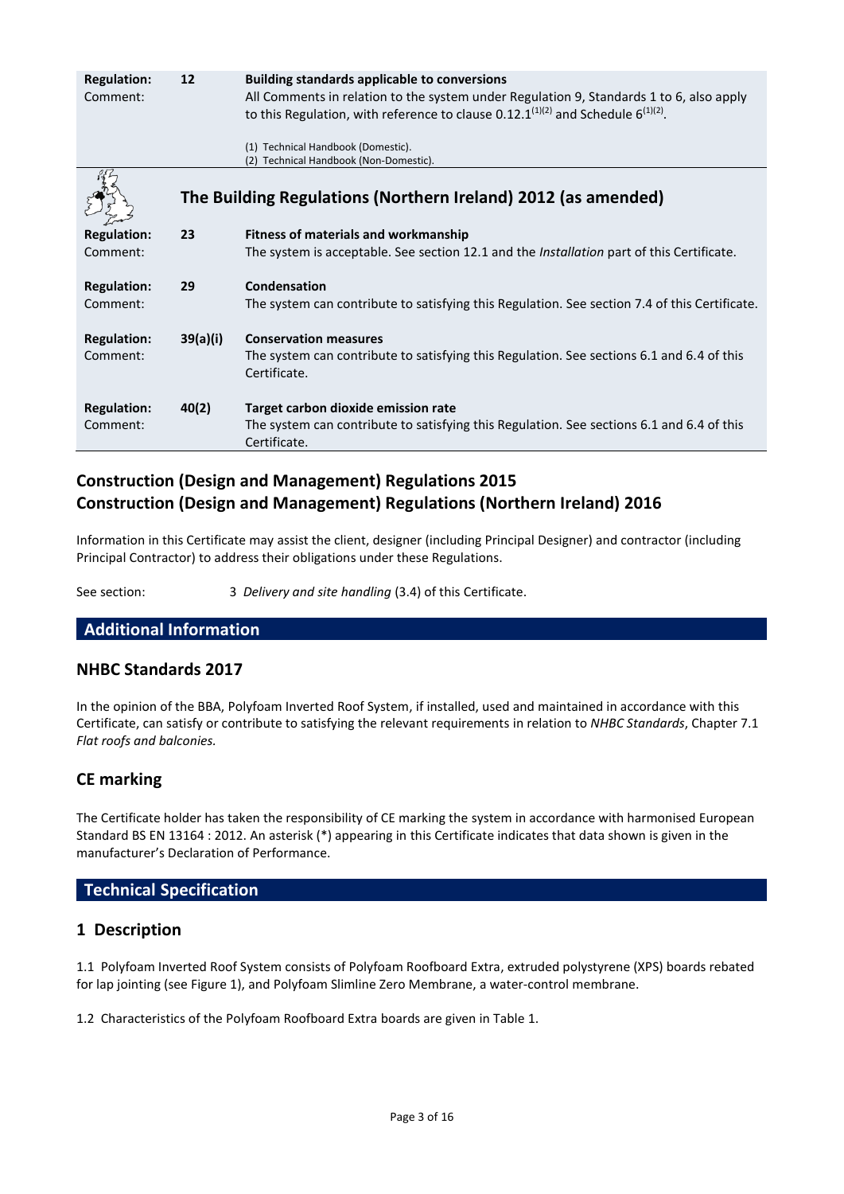| <b>Regulation:</b><br>Comment: | 12       | <b>Building standards applicable to conversions</b><br>All Comments in relation to the system under Regulation 9, Standards 1 to 6, also apply<br>to this Regulation, with reference to clause 0.12.1 $(1)(2)$ and Schedule 6 $(1)(2)$ . |
|--------------------------------|----------|------------------------------------------------------------------------------------------------------------------------------------------------------------------------------------------------------------------------------------------|
|                                |          | (1) Technical Handbook (Domestic).<br>(2) Technical Handbook (Non-Domestic).                                                                                                                                                             |
|                                |          | The Building Regulations (Northern Ireland) 2012 (as amended)                                                                                                                                                                            |
| <b>Regulation:</b>             | 23       | Fitness of materials and workmanship                                                                                                                                                                                                     |
| Comment:                       |          | The system is acceptable. See section 12.1 and the <i>Installation</i> part of this Certificate.                                                                                                                                         |
| <b>Regulation:</b><br>Comment: | 29       | Condensation<br>The system can contribute to satisfying this Regulation. See section 7.4 of this Certificate.                                                                                                                            |
| <b>Regulation:</b><br>Comment: | 39(a)(i) | <b>Conservation measures</b><br>The system can contribute to satisfying this Regulation. See sections 6.1 and 6.4 of this<br>Certificate.                                                                                                |
| <b>Regulation:</b><br>Comment: | 40(2)    | Target carbon dioxide emission rate<br>The system can contribute to satisfying this Regulation. See sections 6.1 and 6.4 of this<br>Certificate.                                                                                         |

# **Construction (Design and Management) Regulations 2015 Construction (Design and Management) Regulations (Northern Ireland) 2016**

Information in this Certificate may assist the client, designer (including Principal Designer) and contractor (including Principal Contractor) to address their obligations under these Regulations.

See section: 3 *Delivery and site handling* (3.4) of this Certificate.

## **Additional Information**

## **NHBC Standards 2017**

In the opinion of the BBA, Polyfoam Inverted Roof System, if installed, used and maintained in accordance with this Certificate, can satisfy or contribute to satisfying the relevant requirements in relation to *NHBC Standards*, Chapter 7.1 *Flat roofs and balconies.*

# **CE marking**

The Certificate holder has taken the responsibility of CE marking the system in accordance with harmonised European Standard BS EN 13164 : 2012. An asterisk (\*) appearing in this Certificate indicates that data shown is given in the manufacturer's Declaration of Performance.

## **Technical Specification**

## **1 Description**

1.1 Polyfoam Inverted Roof System consists of Polyfoam Roofboard Extra, extruded polystyrene (XPS) boards rebated for lap jointing (see Figure 1), and Polyfoam Slimline Zero Membrane, a water-control membrane.

1.2 Characteristics of the Polyfoam Roofboard Extra boards are given in Table 1.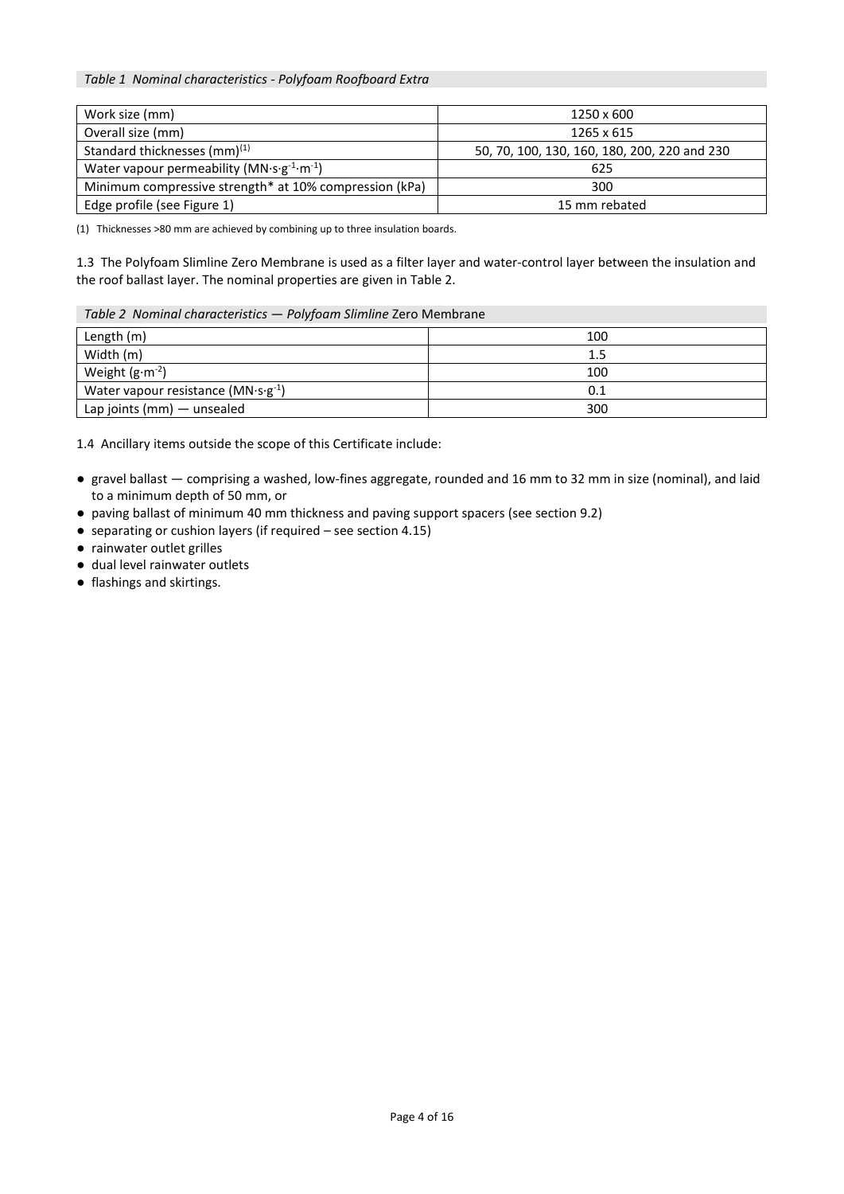*Table 1 Nominal characteristics - Polyfoam Roofboard Extra*

| Work size (mm)                                                       | 1250 x 600                                   |  |
|----------------------------------------------------------------------|----------------------------------------------|--|
| Overall size (mm)                                                    | 1265 x 615                                   |  |
| Standard thicknesses (mm) <sup>(1)</sup>                             | 50, 70, 100, 130, 160, 180, 200, 220 and 230 |  |
| Water vapour permeability ( $MN \cdot s \cdot g^{-1} \cdot m^{-1}$ ) | 625                                          |  |
| Minimum compressive strength* at 10% compression (kPa)               | 300                                          |  |
| Edge profile (see Figure 1)                                          | 15 mm rebated                                |  |

(1) Thicknesses >80 mm are achieved by combining up to three insulation boards.

1.3 The Polyfoam Slimline Zero Membrane is used as a filter layer and water-control layer between the insulation and the roof ballast layer. The nominal properties are given in Table 2.

#### *Table 2 Nominal characteristics* — *Polyfoam Slimline* Zero Membrane

| Length (m)                             | 100 |
|----------------------------------------|-----|
| Width (m)                              | 1.5 |
| Weight $(g \cdot m^{-2})$              | 100 |
| Water vapour resistance ( $MN·s·g-1$ ) | 0.1 |
| Lap joints (mm) - unsealed             | 300 |

1.4 Ancillary items outside the scope of this Certificate include:

- gravel ballast comprising a washed, low-fines aggregate, rounded and 16 mm to 32 mm in size (nominal), and laid to a minimum depth of 50 mm, or
- paving ballast of minimum 40 mm thickness and paving support spacers (see section 9.2)
- separating or cushion layers (if required see section 4.15)
- rainwater outlet grilles
- dual level rainwater outlets
- flashings and skirtings.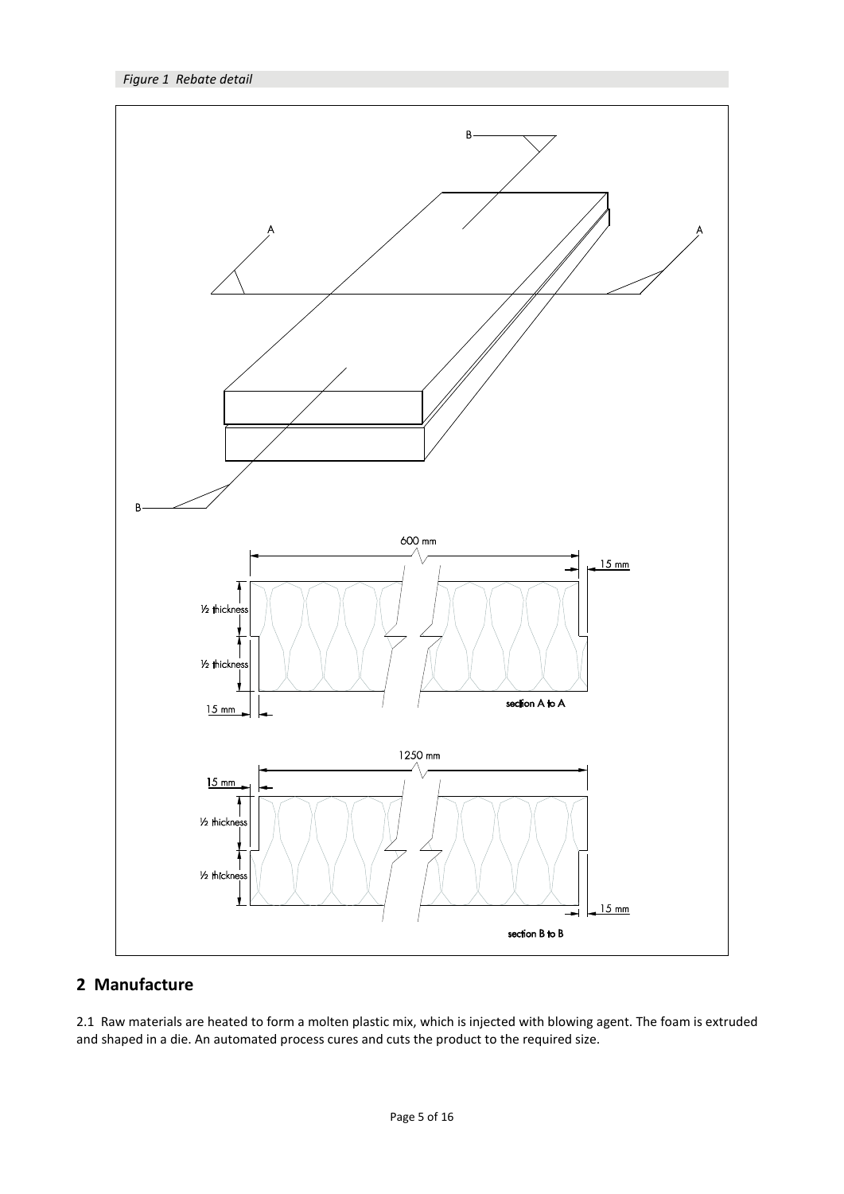

# **2 Manufacture**

2.1 Raw materials are heated to form a molten plastic mix, which is injected with blowing agent. The foam is extruded and shaped in a die. An automated process cures and cuts the product to the required size.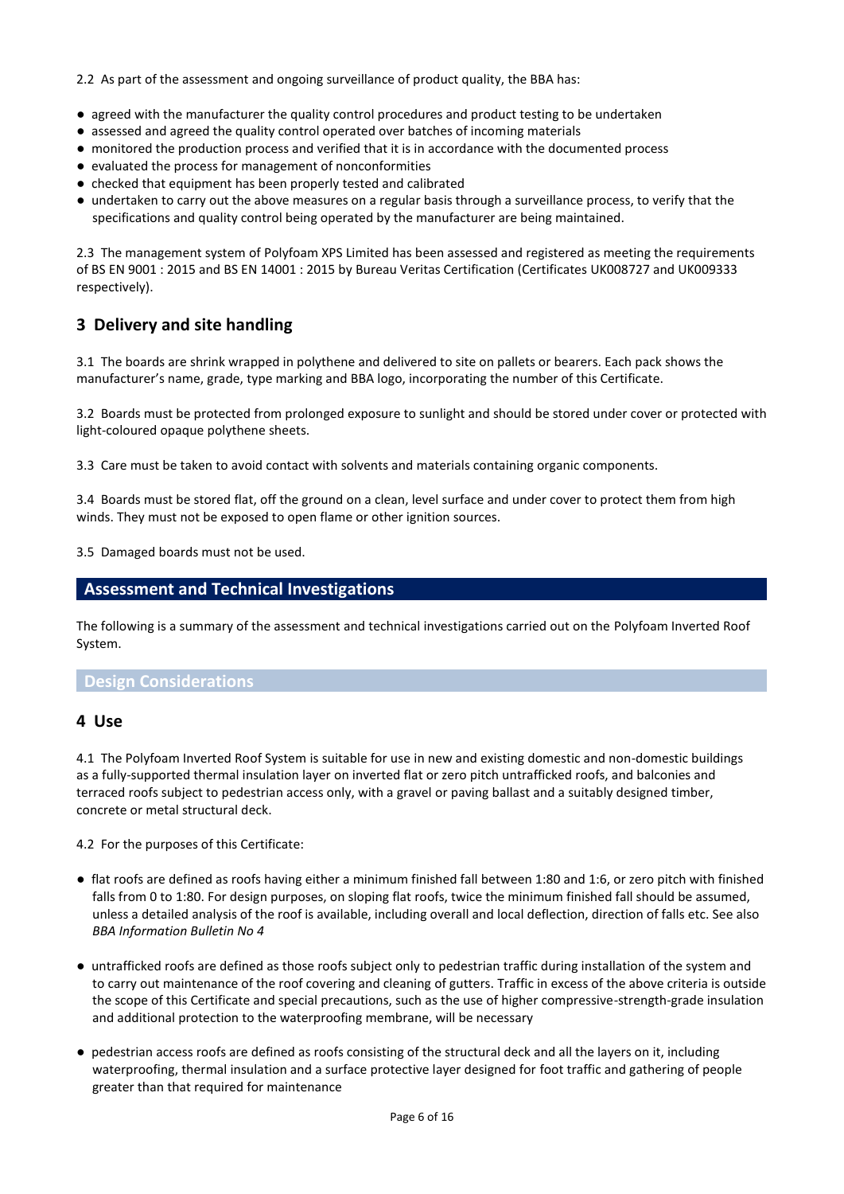2.2 As part of the assessment and ongoing surveillance of product quality, the BBA has:

- agreed with the manufacturer the quality control procedures and product testing to be undertaken
- assessed and agreed the quality control operated over batches of incoming materials
- monitored the production process and verified that it is in accordance with the documented process
- evaluated the process for management of nonconformities
- checked that equipment has been properly tested and calibrated
- undertaken to carry out the above measures on a regular basis through a surveillance process, to verify that the specifications and quality control being operated by the manufacturer are being maintained.

2.3 The management system of Polyfoam XPS Limited has been assessed and registered as meeting the requirements of BS EN 9001 : 2015 and BS EN 14001 : 2015 by Bureau Veritas Certification (Certificates UK008727 and UK009333 respectively).

# **3 Delivery and site handling**

3.1 The boards are shrink wrapped in polythene and delivered to site on pallets or bearers. Each pack shows the manufacturer's name, grade, type marking and BBA logo, incorporating the number of this Certificate.

3.2 Boards must be protected from prolonged exposure to sunlight and should be stored under cover or protected with light-coloured opaque polythene sheets.

3.3 Care must be taken to avoid contact with solvents and materials containing organic components.

3.4 Boards must be stored flat, off the ground on a clean, level surface and under cover to protect them from high winds. They must not be exposed to open flame or other ignition sources.

3.5 Damaged boards must not be used.

## **Assessment and Technical Investigations**

The following is a summary of the assessment and technical investigations carried out on the Polyfoam Inverted Roof System.

## **Design Considerations**

#### **4 Use**

4.1 The Polyfoam Inverted Roof System is suitable for use in new and existing domestic and non-domestic buildings as a fully-supported thermal insulation layer on inverted flat or zero pitch untrafficked roofs, and balconies and terraced roofs subject to pedestrian access only, with a gravel or paving ballast and a suitably designed timber, concrete or metal structural deck.

4.2 For the purposes of this Certificate:

- flat roofs are defined as roofs having either a minimum finished fall between 1:80 and 1:6, or zero pitch with finished falls from 0 to 1:80. For design purposes, on sloping flat roofs, twice the minimum finished fall should be assumed, unless a detailed analysis of the roof is available, including overall and local deflection, direction of falls etc. See also *BBA Information Bulletin No 4*
- untrafficked roofs are defined as those roofs subject only to pedestrian traffic during installation of the system and to carry out maintenance of the roof covering and cleaning of gutters. Traffic in excess of the above criteria is outside the scope of this Certificate and special precautions, such as the use of higher compressive-strength-grade insulation and additional protection to the waterproofing membrane, will be necessary
- pedestrian access roofs are defined as roofs consisting of the structural deck and all the layers on it, including waterproofing, thermal insulation and a surface protective layer designed for foot traffic and gathering of people greater than that required for maintenance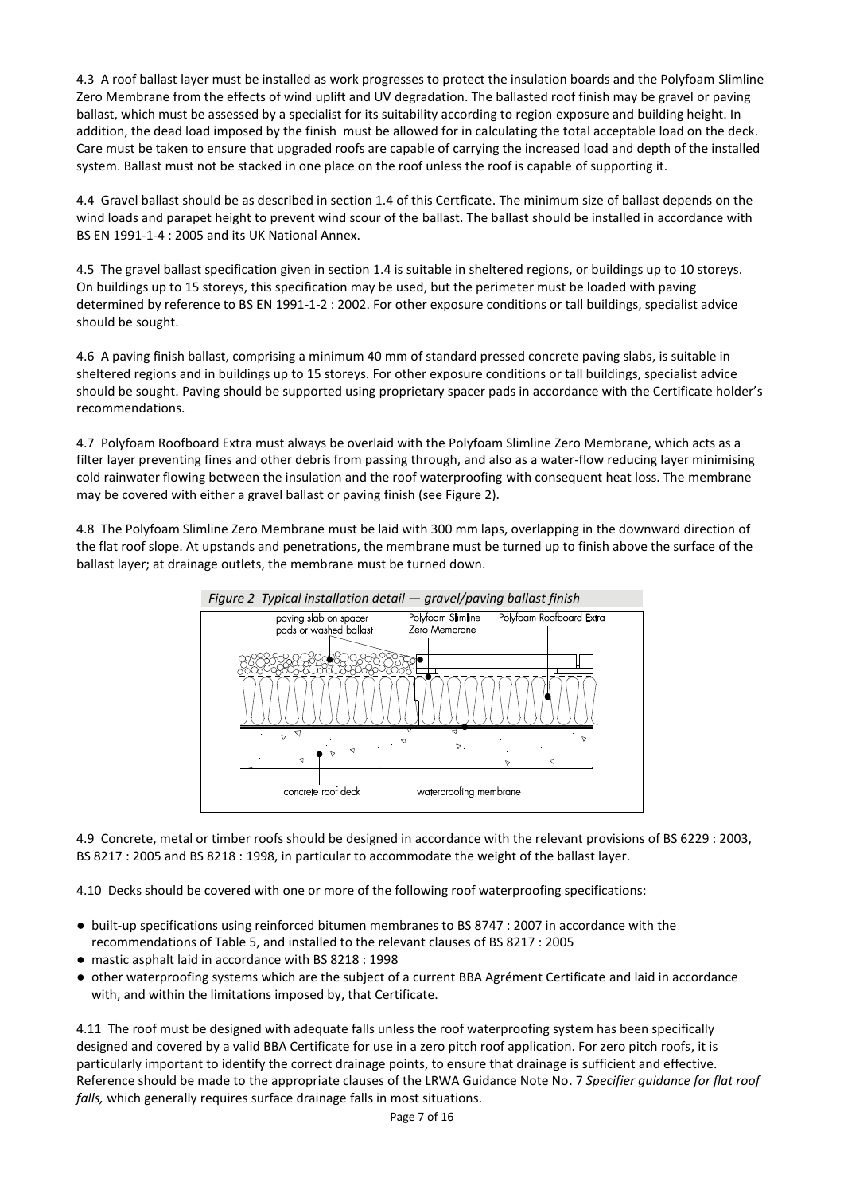4.3 A roof ballast layer must be installed as work progresses to protect the insulation boards and the Polyfoam Slimline Zero Membrane from the effects of wind uplift and UV degradation. The ballasted roof finish may be gravel or paving ballast, which must be assessed by a specialist for its suitability according to region exposure and building height. In addition, the dead load imposed by the finish must be allowed for in calculating the total acceptable load on the deck. Care must be taken to ensure that upgraded roofs are capable of carrying the increased load and depth of the installed system. Ballast must not be stacked in one place on the roof unless the roof is capable of supporting it.

4.4 Gravel ballast should be as described in section 1.4 of this Certficate. The minimum size of ballast depends on the wind loads and parapet height to prevent wind scour of the ballast. The ballast should be installed in accordance with BS EN 1991-1-4 : 2005 and its UK National Annex.

4.5 The gravel ballast specification given in section 1.4 is suitable in sheltered regions, or buildings up to 10 storeys. On buildings up to 15 storeys, this specification may be used, but the perimeter must be loaded with paving determined by reference to BS EN 1991-1-2 : 2002. For other exposure conditions or tall buildings, specialist advice should be sought.

4.6 A paving finish ballast, comprising a minimum 40 mm of standard pressed concrete paving slabs, is suitable in sheltered regions and in buildings up to 15 storeys. For other exposure conditions or tall buildings, specialist advice should be sought. Paving should be supported using proprietary spacer pads in accordance with the Certificate holder's recommendations.

4.7 Polyfoam Roofboard Extra must always be overlaid with the Polyfoam Slimline Zero Membrane, which acts as a filter layer preventing fines and other debris from passing through, and also as a water-flow reducing layer minimising cold rainwater flowing between the insulation and the roof waterproofing with consequent heat loss. The membrane may be covered with either a gravel ballast or paving finish (see Figure 2).

4.8 The Polyfoam Slimline Zero Membrane must be laid with 300 mm laps, overlapping in the downward direction of the flat roof slope. At upstands and penetrations, the membrane must be turned up to finish above the surface of the ballast layer; at drainage outlets, the membrane must be turned down.



4.9 Concrete, metal or timber roofs should be designed in accordance with the relevant provisions of BS 6229 : 2003, BS 8217 : 2005 and BS 8218 : 1998, in particular to accommodate the weight of the ballast layer.

4.10 Decks should be covered with one or more of the following roof waterproofing specifications:

- built-up specifications using reinforced bitumen membranes to BS 8747 : 2007 in accordance with the recommendations of Table 5, and installed to the relevant clauses of BS 8217 : 2005
- mastic asphalt laid in accordance with BS 8218 : 1998
- other waterproofing systems which are the subject of a current BBA Agrément Certificate and laid in accordance with, and within the limitations imposed by, that Certificate.

4.11 The roof must be designed with adequate falls unless the roof waterproofing system has been specifically designed and covered by a valid BBA Certificate for use in a zero pitch roof application. For zero pitch roofs, it is particularly important to identify the correct drainage points, to ensure that drainage is sufficient and effective. Reference should be made to the appropriate clauses of the LRWA Guidance Note No. 7 *Specifier guidance for flat roof falls,* which generally requires surface drainage falls in most situations.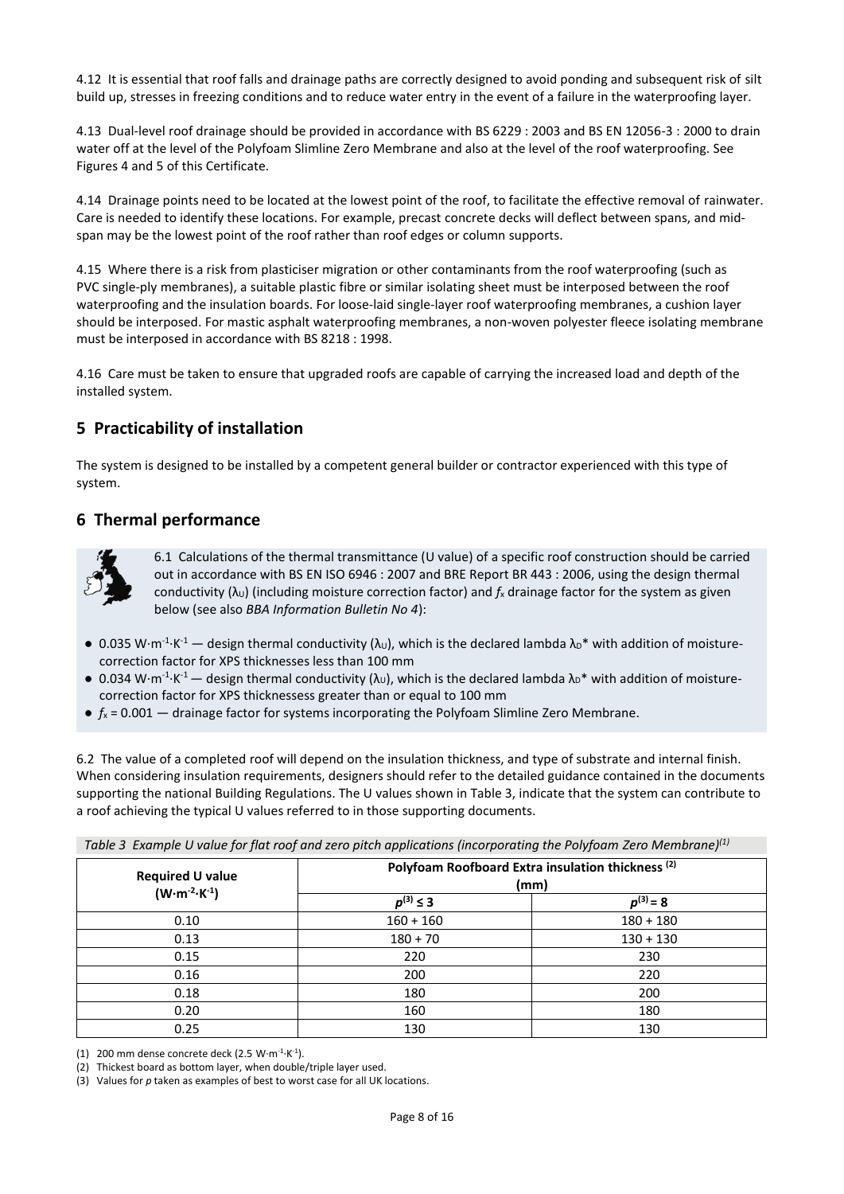4.12 It is essential that roof falls and drainage paths are correctly designed to avoid ponding and subsequent risk of silt build up, stresses in freezing conditions and to reduce water entry in the event of a failure in the waterproofing layer.

4.13 Dual-level roof drainage should be provided in accordance with BS 6229 : 2003 and BS EN 12056-3 : 2000 to drain water off at the level of the Polyfoam Slimline Zero Membrane and also at the level of the roof waterproofing. See Figures 4 and 5 of this Certificate.

4.14 Drainage points need to be located at the lowest point of the roof, to facilitate the effective removal of rainwater. Care is needed to identify these locations. For example, precast concrete decks will deflect between spans, and midspan may be the lowest point of the roof rather than roof edges or column supports.

4.15 Where there is a risk from plasticiser migration or other contaminants from the roof waterproofing (such as PVC single-ply membranes), a suitable plastic fibre or similar isolating sheet must be interposed between the roof waterproofing and the insulation boards. For loose-laid single-layer roof waterproofing membranes, a cushion layer should be interposed. For mastic asphalt waterproofing membranes, a non-woven polyester fleece isolating membrane must be interposed in accordance with BS 8218 : 1998.

4.16 Care must be taken to ensure that upgraded roofs are capable of carrying the increased load and depth of the installed system.

# **5 Practicability of installation**

The system is designed to be installed by a competent general builder or contractor experienced with this type of system.

# **6 Thermal performance**



6.1 Calculations of the thermal transmittance (U value) of a specific roof construction should be carried out in accordance with BS EN ISO 6946 : 2007 and BRE Report BR 443 : 2006, using the design thermal conductivity  $(\lambda_U)$  (including moisture correction factor) and  $f_x$  drainage factor for the system as given below (see also *BBA Information Bulletin No 4*):

- 0.035 W·m<sup>-1</sup>·K<sup>-1</sup> design thermal conductivity ( $\lambda$ <sub>U</sub>), which is the declared lambda  $\lambda_D^*$  with addition of moisturecorrection factor for XPS thicknesses less than 100 mm
- 0.034 W·m<sup>-1</sup>·K<sup>-1</sup> design thermal conductivity ( $\lambda$ <sub>U</sub>), which is the declared lambda  $\lambda_D^*$  with addition of moisturecorrection factor for XPS thicknessess greater than or equal to 100 mm
- $\bullet$   $f_x = 0.001$  drainage factor for systems incorporating the Polyfoam Slimline Zero Membrane.

6.2 The value of a completed roof will depend on the insulation thickness, and type of substrate and internal finish. When considering insulation requirements, designers should refer to the detailed guidance contained in the documents supporting the national Building Regulations. The U values shown in Table 3, indicate that the system can contribute to a roof achieving the typical U values referred to in those supporting documents.

| Table 3 Example U value for flat roof and zero pitch applications (incorporating the Polyfoam Zero Membrane) <sup>(1)</sup> |
|-----------------------------------------------------------------------------------------------------------------------------|
|-----------------------------------------------------------------------------------------------------------------------------|

| <b>Required U value</b><br>$(W \cdot m^{-2} \cdot K^{-1})$ | Polyfoam Roofboard Extra insulation thickness <sup>(2)</sup><br>(mm) |               |  |
|------------------------------------------------------------|----------------------------------------------------------------------|---------------|--|
|                                                            | $p^{(3)} \leq 3$                                                     | $p^{(3)} = 8$ |  |
| 0.10                                                       | $160 + 160$                                                          | $180 + 180$   |  |
| 0.13                                                       | $180 + 70$                                                           | $130 + 130$   |  |
| 0.15                                                       | 220                                                                  | 230           |  |
| 0.16                                                       | 200                                                                  | 220           |  |
| 0.18                                                       | 180                                                                  | 200           |  |
| 0.20                                                       | 160                                                                  | 180           |  |
| 0.25                                                       | 130                                                                  | 130           |  |

(1) 200 mm dense concrete deck (2.5 W $\cdot$ m<sup>-1</sup> $\cdot$ K<sup>-1</sup>).

(2) Thickest board as bottom layer, when double/triple layer used.

(3) Values for *p* taken as examples of best to worst case for all UK locations.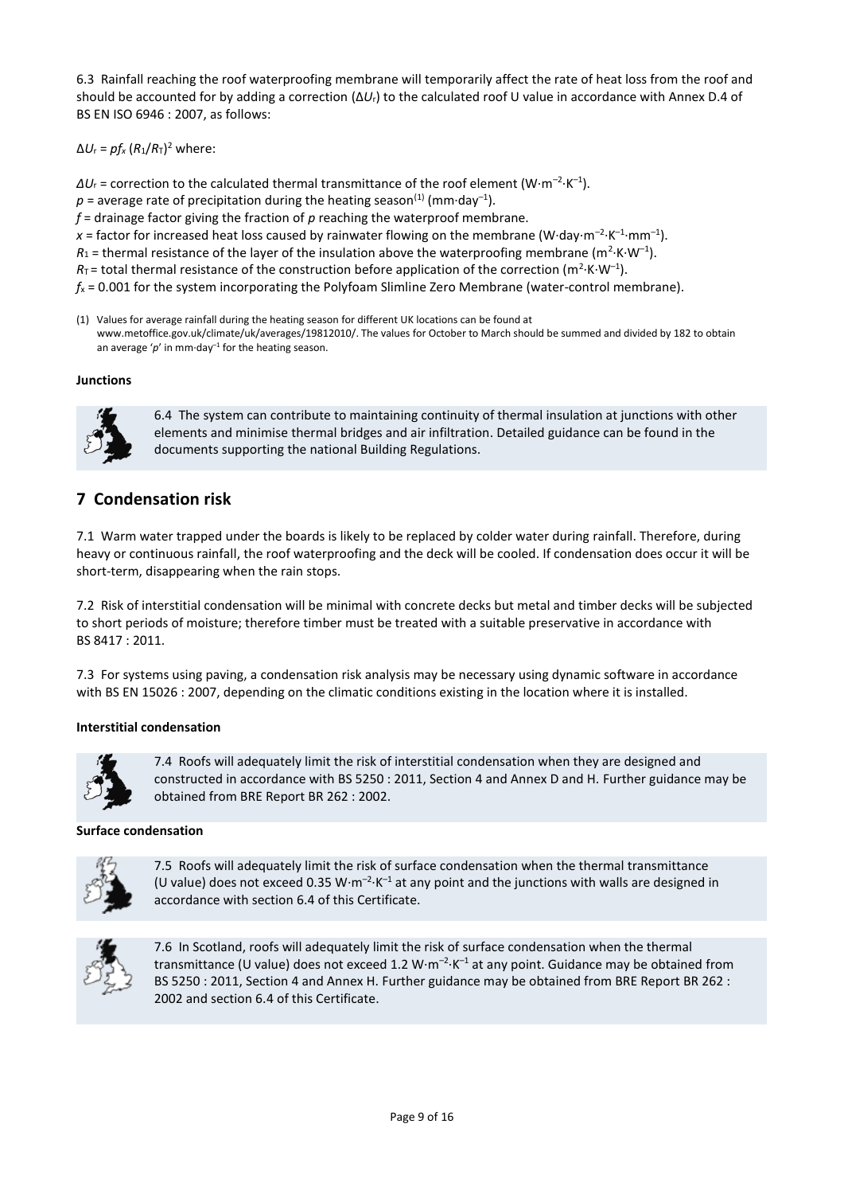6.3 Rainfall reaching the roof waterproofing membrane will temporarily affect the rate of heat loss from the roof and should be accounted for by adding a correction (Δ*U*r) to the calculated roof U value in accordance with Annex D.4 of BS EN ISO 6946 : 2007, as follows:

 $\Delta U_r = p f_x (R_1/R_T)^2$  where:

 $\Delta U_{\text{r}}$  = correction to the calculated thermal transmittance of the roof element (W $\cdot$ m<sup>-2</sup> $\cdot$ K<sup>-1</sup>).

 $p$  = average rate of precipitation during the heating season<sup>(1)</sup> (mm·day<sup>-1</sup>).

*f* = drainage factor giving the fraction of *p* reaching the waterproof membrane.

x = factor for increased heat loss caused by rainwater flowing on the membrane (W·day·m<sup>-2</sup>·K<sup>-1</sup>·mm<sup>-1</sup>).

 $R_1$  = thermal resistance of the layer of the insulation above the waterproofing membrane (m<sup>2</sup>·K·W<sup>-1</sup>).

 $R<sub>T</sub>$  = total thermal resistance of the construction before application of the correction (m<sup>2</sup>·K·W<sup>-1</sup>).

 $f_x = 0.001$  for the system incorporating the Polyfoam Slimline Zero Membrane (water-control membrane).

(1) Values for average rainfall during the heating season for different UK locations can be found at www.metoffice.gov.uk/climate/uk/averages/19812010/. The values for October to March should be summed and divided by 182 to obtain an average 'p' in mm $\cdot$ day<sup>-1</sup> for the heating season.

#### **Junctions**



6.4 The system can contribute to maintaining continuity of thermal insulation at junctions with other elements and minimise thermal bridges and air infiltration. Detailed guidance can be found in the documents supporting the national Building Regulations.

# **7 Condensation risk**

7.1 Warm water trapped under the boards is likely to be replaced by colder water during rainfall. Therefore, during heavy or continuous rainfall, the roof waterproofing and the deck will be cooled. If condensation does occur it will be short-term, disappearing when the rain stops.

7.2 Risk of interstitial condensation will be minimal with concrete decks but metal and timber decks will be subjected to short periods of moisture; therefore timber must be treated with a suitable preservative in accordance with BS 8417 : 2011.

7.3 For systems using paving, a condensation risk analysis may be necessary using dynamic software in accordance with BS EN 15026 : 2007, depending on the climatic conditions existing in the location where it is installed.

#### **Interstitial condensation**



7.4 Roofs will adequately limit the risk of interstitial condensation when they are designed and constructed in accordance with BS 5250 : 2011, Section 4 and Annex D and H. Further guidance may be obtained from BRE Report BR 262 : 2002.

#### **Surface condensation**



7.5 Roofs will adequately limit the risk of surface condensation when the thermal transmittance (U value) does not exceed 0.35 W·m<sup>-2</sup>·K<sup>-1</sup> at any point and the junctions with walls are designed in accordance with section 6.4 of this Certificate.



7.6 In Scotland, roofs will adequately limit the risk of surface condensation when the thermal transmittance (U value) does not exceed 1.2 W·m<sup>-2</sup>·K<sup>-1</sup> at any point. Guidance may be obtained from BS 5250 : 2011, Section 4 and Annex H. Further guidance may be obtained from BRE Report BR 262 : 2002 and section 6.4 of this Certificate.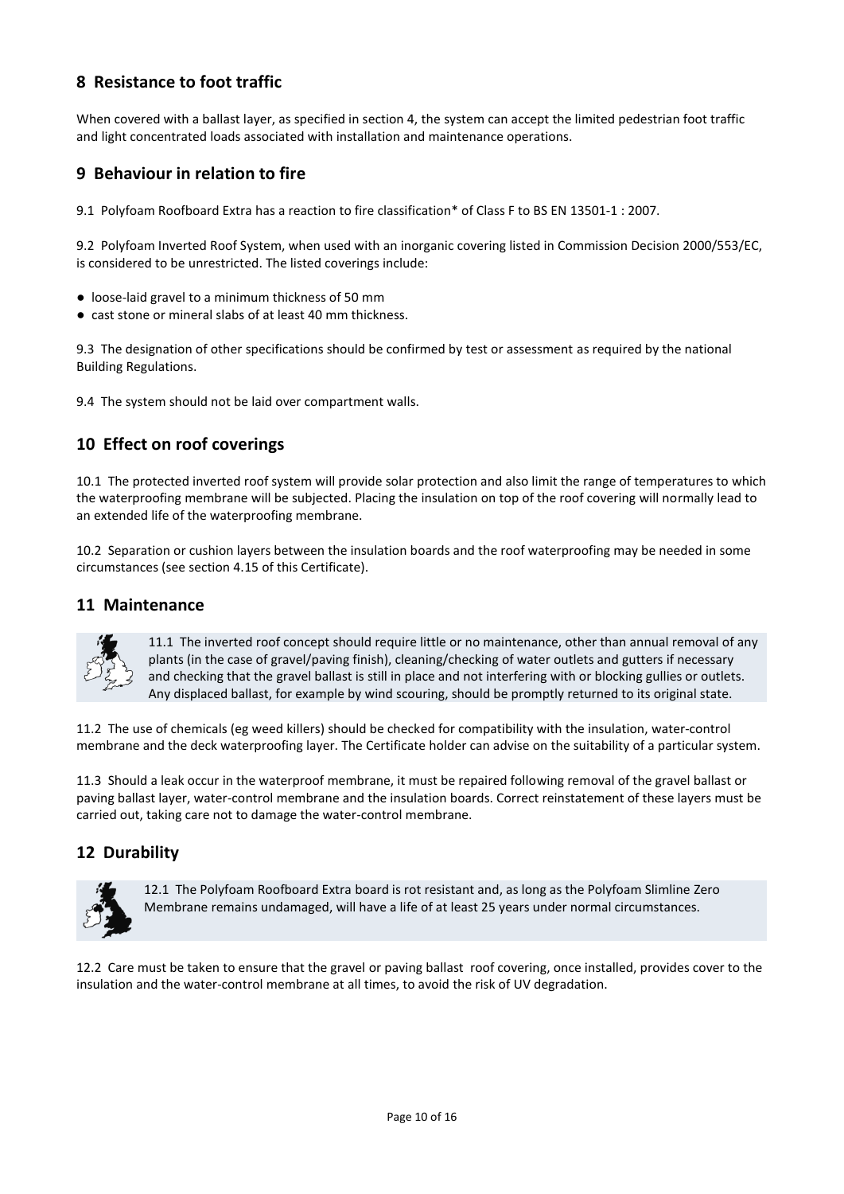# **8 Resistance to foot traffic**

When covered with a ballast layer, as specified in section 4, the system can accept the limited pedestrian foot traffic and light concentrated loads associated with installation and maintenance operations.

## **9 Behaviour in relation to fire**

9.1 Polyfoam Roofboard Extra has a reaction to fire classification\* of Class F to BS EN 13501-1 : 2007.

9.2 Polyfoam Inverted Roof System, when used with an inorganic covering listed in Commission Decision 2000/553/EC, is considered to be unrestricted. The listed coverings include:

- loose-laid gravel to a minimum thickness of 50 mm
- cast stone or mineral slabs of at least 40 mm thickness.

9.3 The designation of other specifications should be confirmed by test or assessment as required by the national Building Regulations.

9.4 The system should not be laid over compartment walls.

# **10 Effect on roof coverings**

10.1 The protected inverted roof system will provide solar protection and also limit the range of temperatures to which the waterproofing membrane will be subjected. Placing the insulation on top of the roof covering will normally lead to an extended life of the waterproofing membrane.

10.2 Separation or cushion layers between the insulation boards and the roof waterproofing may be needed in some circumstances (see section 4.15 of this Certificate).

## **11 Maintenance**



11.1 The inverted roof concept should require little or no maintenance, other than annual removal of any plants (in the case of gravel/paving finish), cleaning/checking of water outlets and gutters if necessary and checking that the gravel ballast is still in place and not interfering with or blocking gullies or outlets. Any displaced ballast, for example by wind scouring, should be promptly returned to its original state.

11.2 The use of chemicals (eg weed killers) should be checked for compatibility with the insulation, water-control membrane and the deck waterproofing layer. The Certificate holder can advise on the suitability of a particular system.

11.3 Should a leak occur in the waterproof membrane, it must be repaired following removal of the gravel ballast or paving ballast layer, water-control membrane and the insulation boards. Correct reinstatement of these layers must be carried out, taking care not to damage the water-control membrane.

# **12 Durability**



12.1 The Polyfoam Roofboard Extra board is rot resistant and, as long as the Polyfoam Slimline Zero Membrane remains undamaged, will have a life of at least 25 years under normal circumstances.

12.2 Care must be taken to ensure that the gravel or paving ballast roof covering, once installed, provides cover to the insulation and the water-control membrane at all times, to avoid the risk of UV degradation.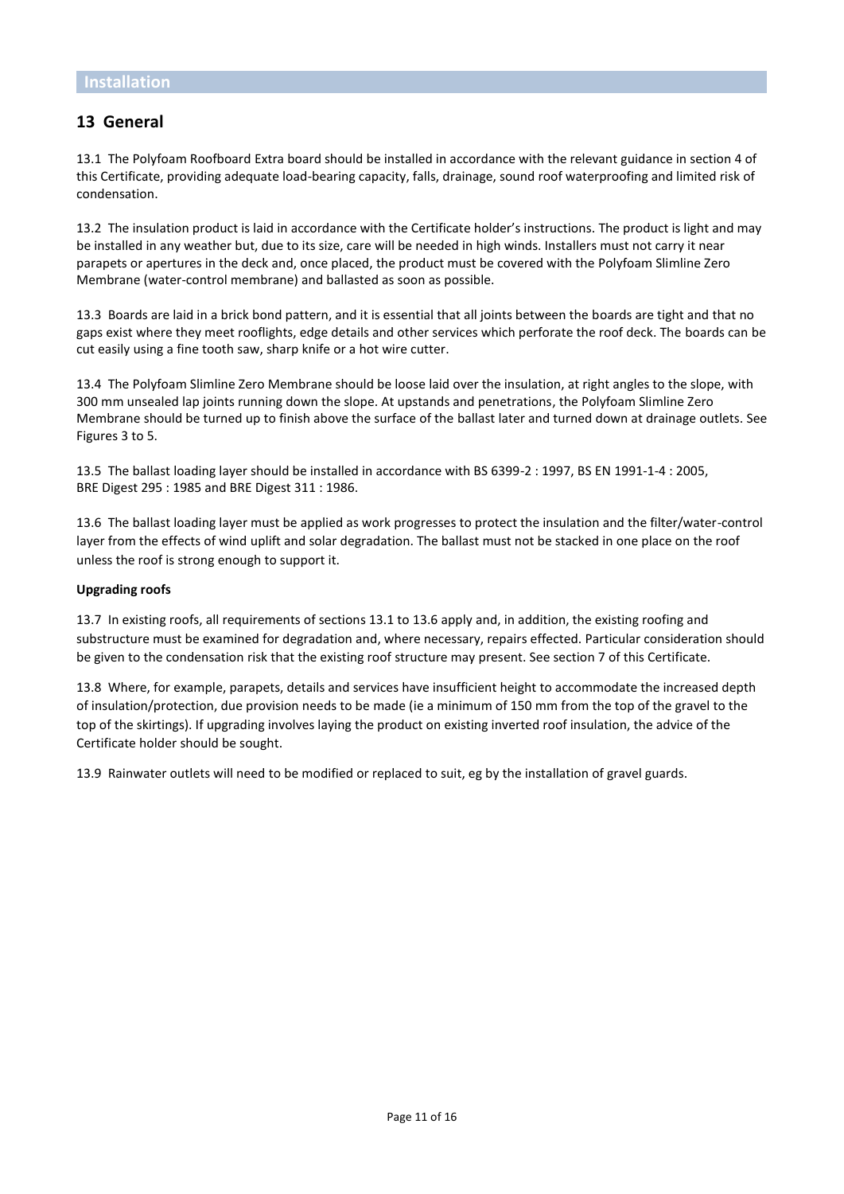# **13 General**

13.1 The Polyfoam Roofboard Extra board should be installed in accordance with the relevant guidance in section 4 of this Certificate, providing adequate load-bearing capacity, falls, drainage, sound roof waterproofing and limited risk of condensation.

13.2 The insulation product is laid in accordance with the Certificate holder's instructions. The product is light and may be installed in any weather but, due to its size, care will be needed in high winds. Installers must not carry it near parapets or apertures in the deck and, once placed, the product must be covered with the Polyfoam Slimline Zero Membrane (water-control membrane) and ballasted as soon as possible.

13.3 Boards are laid in a brick bond pattern, and it is essential that all joints between the boards are tight and that no gaps exist where they meet rooflights, edge details and other services which perforate the roof deck. The boards can be cut easily using a fine tooth saw, sharp knife or a hot wire cutter.

13.4 The Polyfoam Slimline Zero Membrane should be loose laid over the insulation, at right angles to the slope, with 300 mm unsealed lap joints running down the slope. At upstands and penetrations, the Polyfoam Slimline Zero Membrane should be turned up to finish above the surface of the ballast later and turned down at drainage outlets. See Figures 3 to 5.

13.5 The ballast loading layer should be installed in accordance with BS 6399-2 : 1997, BS EN 1991-1-4 : 2005, BRE Digest 295 : 1985 and BRE Digest 311 : 1986.

13.6 The ballast loading layer must be applied as work progresses to protect the insulation and the filter/water-control layer from the effects of wind uplift and solar degradation. The ballast must not be stacked in one place on the roof unless the roof is strong enough to support it.

#### **Upgrading roofs**

13.7 In existing roofs, all requirements of sections 13.1 to 13.6 apply and, in addition, the existing roofing and substructure must be examined for degradation and, where necessary, repairs effected. Particular consideration should be given to the condensation risk that the existing roof structure may present. See section 7 of this Certificate.

13.8 Where, for example, parapets, details and services have insufficient height to accommodate the increased depth of insulation/protection, due provision needs to be made (ie a minimum of 150 mm from the top of the gravel to the top of the skirtings). If upgrading involves laying the product on existing inverted roof insulation, the advice of the Certificate holder should be sought.

13.9 Rainwater outlets will need to be modified or replaced to suit, eg by the installation of gravel guards.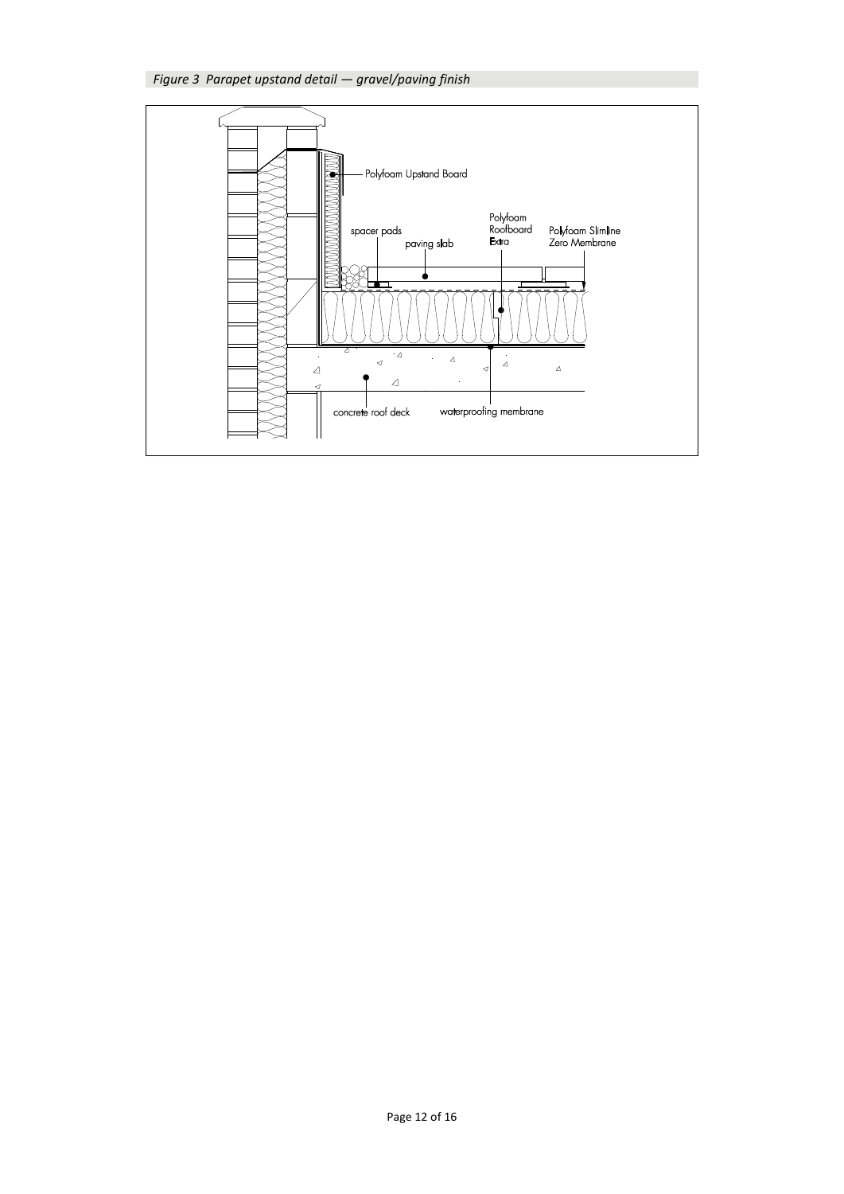

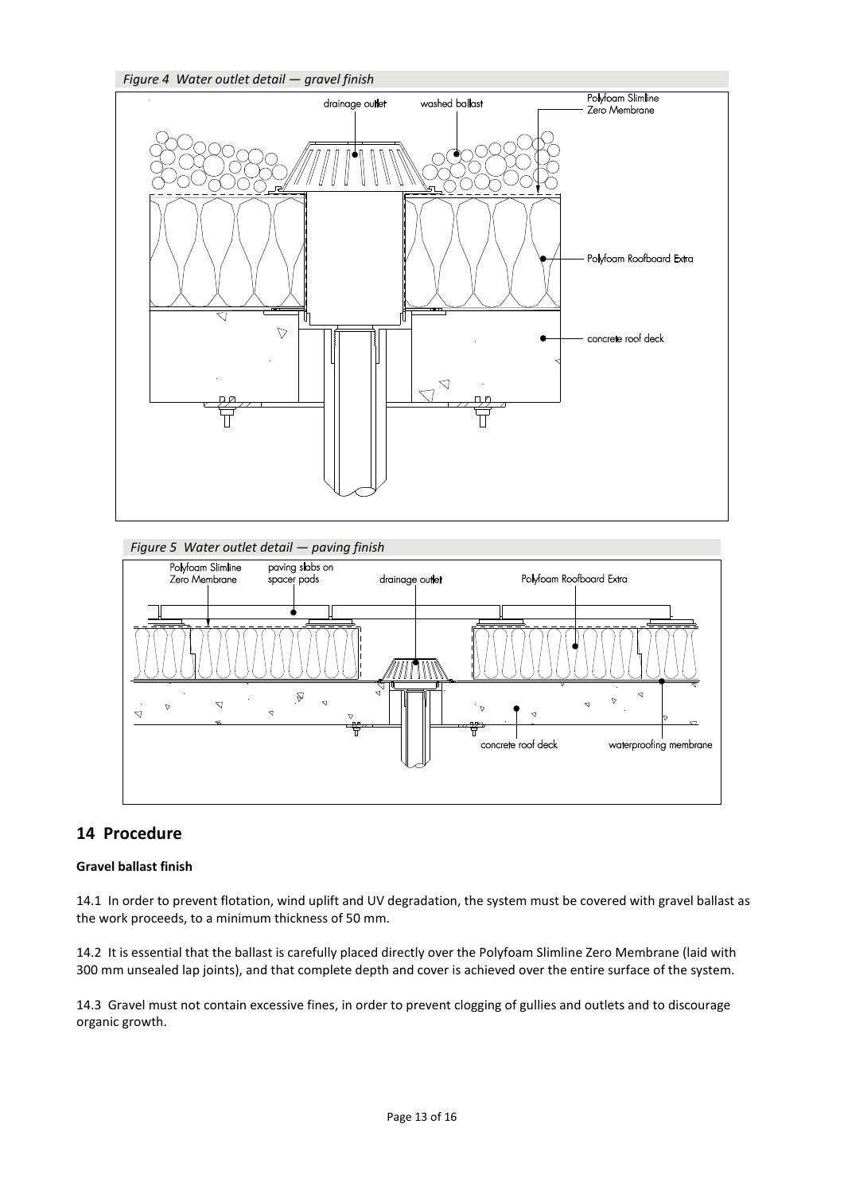*Figure 4 Water outlet detail — gravel finish*





# **14 Procedure**

#### **Gravel ballast finish**

14.1 In order to prevent flotation, wind uplift and UV degradation, the system must be covered with gravel ballast as the work proceeds, to a minimum thickness of 50 mm.

14.2 It is essential that the ballast is carefully placed directly over the Polyfoam Slimline Zero Membrane (laid with 300 mm unsealed lap joints), and that complete depth and cover is achieved over the entire surface of the system.

14.3 Gravel must not contain excessive fines, in order to prevent clogging of gullies and outlets and to discourage organic growth.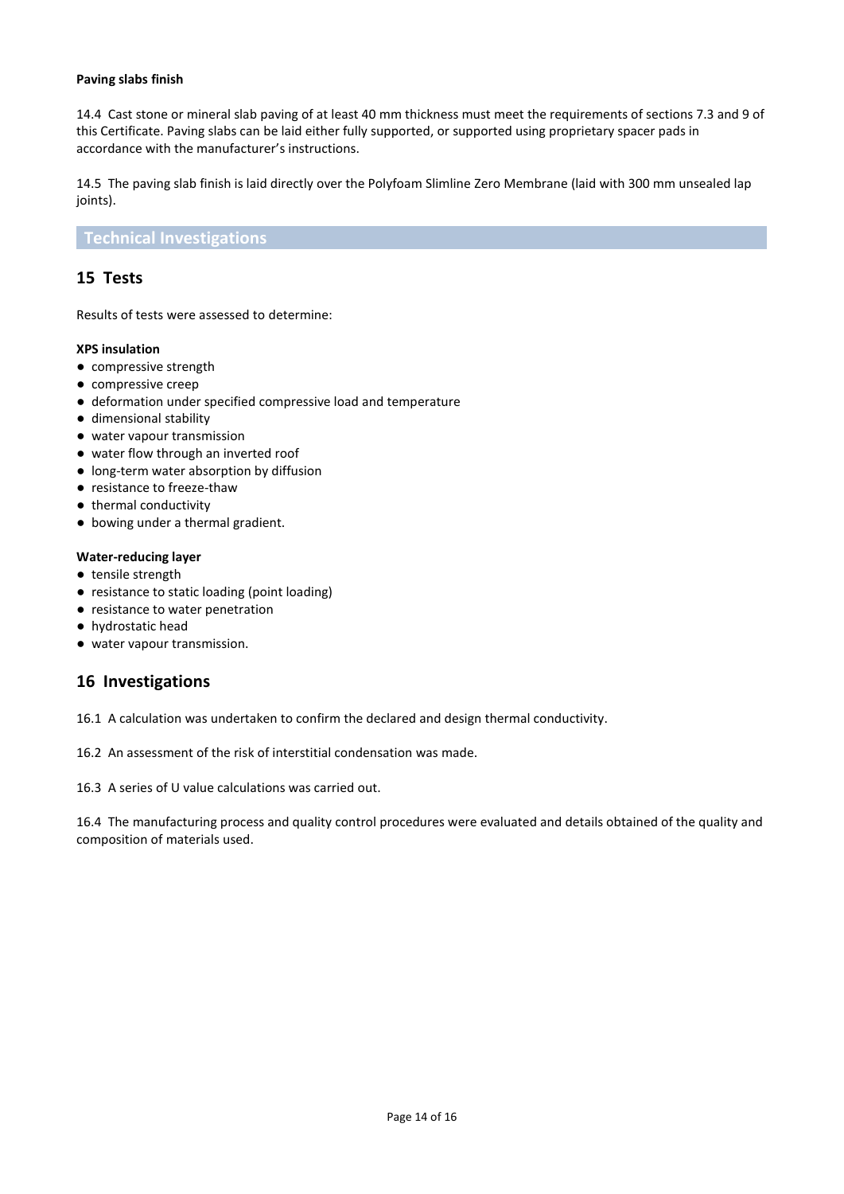#### **Paving slabs finish**

14.4 Cast stone or mineral slab paving of at least 40 mm thickness must meet the requirements of sections 7.3 and 9 of this Certificate. Paving slabs can be laid either fully supported, or supported using proprietary spacer pads in accordance with the manufacturer's instructions.

14.5 The paving slab finish is laid directly over the Polyfoam Slimline Zero Membrane (laid with 300 mm unsealed lap joints).

#### **Technical Investigations**

## **15 Tests**

Results of tests were assessed to determine:

#### **XPS insulation**

- compressive strength
- compressive creep
- deformation under specified compressive load and temperature
- dimensional stability
- water vapour transmission
- water flow through an inverted roof
- long-term water absorption by diffusion
- resistance to freeze-thaw
- thermal conductivity
- bowing under a thermal gradient.

#### **Water-reducing layer**

- tensile strength
- resistance to static loading (point loading)
- resistance to water penetration
- hydrostatic head
- water vapour transmission.

## **16 Investigations**

16.1 A calculation was undertaken to confirm the declared and design thermal conductivity.

16.2 An assessment of the risk of interstitial condensation was made.

16.3 A series of U value calculations was carried out.

16.4 The manufacturing process and quality control procedures were evaluated and details obtained of the quality and composition of materials used.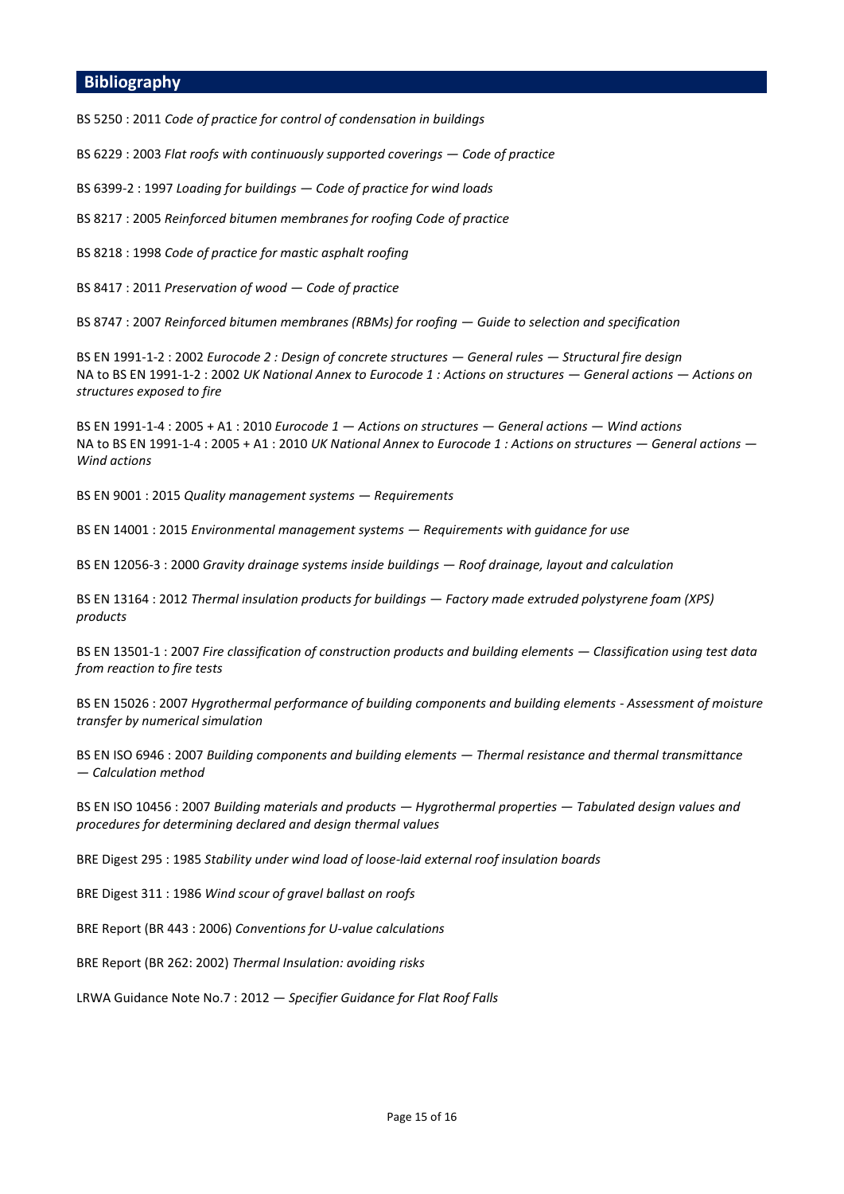#### **Bibliography**

BS 5250 : 2011 *Code of practice for control of condensation in buildings*

BS 6229 : 2003 *Flat roofs with continuously supported coverings — Code of practice*

BS 6399-2 : 1997 *Loading for buildings — Code of practice for wind loads*

BS 8217 : 2005 *Reinforced bitumen membranes for roofing Code of practice*

BS 8218 : 1998 *Code of practice for mastic asphalt roofing*

BS 8417 : 2011 *Preservation of wood — Code of practice*

BS 8747 : 2007 *Reinforced bitumen membranes (RBMs) for roofing — Guide to selection and specification*

BS EN 1991-1-2 : 2002 *Eurocode 2 : Design of concrete structures — General rules — Structural fire design* NA to BS EN 1991-1-2 : 2002 *UK National Annex to Eurocode 1 : Actions on structures — General actions — Actions on structures exposed to fire*

BS EN 1991-1-4 : 2005 + A1 : 2010 *Eurocode 1 — Actions on structures — General actions — Wind actions* NA to BS EN 1991-1-4 : 2005 + A1 : 2010 *UK National Annex to Eurocode 1 : Actions on structures — General actions — Wind actions*

BS EN 9001 : 2015 *Quality management systems — Requirements*

BS EN 14001 : 2015 *Environmental management systems — Requirements with guidance for use*

BS EN 12056-3 : 2000 *Gravity drainage systems inside buildings — Roof drainage, layout and calculation*

BS EN 13164 : 2012 *Thermal insulation products for buildings — Factory made extruded polystyrene foam (XPS) products*

BS EN 13501-1 : 2007 *Fire classification of construction products and building elements — Classification using test data from reaction to fire tests*

BS EN 15026 : 2007 *Hygrothermal performance of building components and building elements - Assessment of moisture transfer by numerical simulation*

BS EN ISO 6946 : 2007 *Building components and building elements — Thermal resistance and thermal transmittance — Calculation method*

BS EN ISO 10456 : 2007 *Building materials and products — Hygrothermal properties — Tabulated design values and procedures for determining declared and design thermal values*

BRE Digest 295 : 1985 *Stability under wind load of loose-laid external roof insulation boards*

BRE Digest 311 : 1986 *Wind scour of gravel ballast on roofs*

BRE Report (BR 443 : 2006) *Conventions for U-value calculations*

BRE Report (BR 262: 2002) *Thermal Insulation: avoiding risks*

LRWA Guidance Note No.7 : 2012 — *Specifier Guidance for Flat Roof Falls*